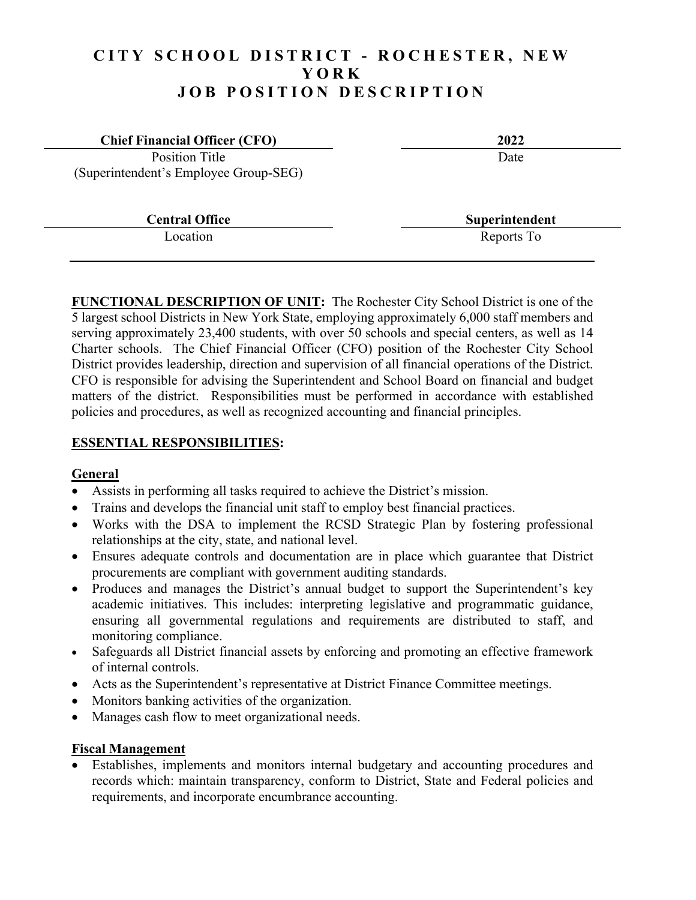# **CITY SCHOOL DISTRICT - ROCHESTER, NEW YORK JOB POSITION DESCRIPTION**

| <b>Chief Financial Officer (CFO)</b>  | 2022           |
|---------------------------------------|----------------|
| Position Title                        | Date           |
| (Superintendent's Employee Group-SEG) |                |
|                                       |                |
| <b>Central Office</b>                 | Superintendent |
| Location                              | Reports To     |
|                                       |                |

**FUNCTIONAL DESCRIPTION OF UNIT:** The Rochester City School District is one of the 5 largest school Districts in New York State, employing approximately 6,000 staff members and serving approximately 23,400 students, with over 50 schools and special centers, as well as 14 Charter schools. The Chief Financial Officer (CFO) position of the Rochester City School District provides leadership, direction and supervision of all financial operations of the District. CFO is responsible for advising the Superintendent and School Board on financial and budget matters of the district. Responsibilities must be performed in accordance with established policies and procedures, as well as recognized accounting and financial principles.

#### **ESSENTIAL RESPONSIBILITIES:**

#### **General**

- Assists in performing all tasks required to achieve the District's mission.
- Trains and develops the financial unit staff to employ best financial practices.
- Works with the DSA to implement the RCSD Strategic Plan by fostering professional relationships at the city, state, and national level.
- Ensures adequate controls and documentation are in place which guarantee that District procurements are compliant with government auditing standards.
- Produces and manages the District's annual budget to support the Superintendent's key academic initiatives. This includes: interpreting legislative and programmatic guidance, ensuring all governmental regulations and requirements are distributed to staff, and monitoring compliance.
- Safeguards all District financial assets by enforcing and promoting an effective framework of internal controls.
- Acts as the Superintendent's representative at District Finance Committee meetings.
- Monitors banking activities of the organization.
- Manages cash flow to meet organizational needs.

#### **Fiscal Management**

 Establishes, implements and monitors internal budgetary and accounting procedures and records which: maintain transparency, conform to District, State and Federal policies and requirements, and incorporate encumbrance accounting.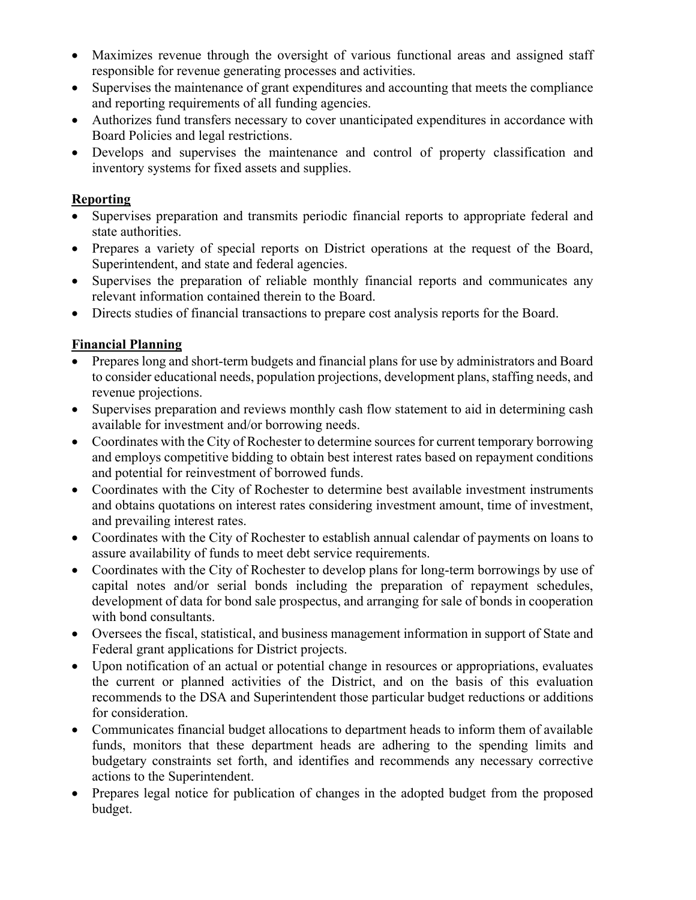- Maximizes revenue through the oversight of various functional areas and assigned staff responsible for revenue generating processes and activities.
- Supervises the maintenance of grant expenditures and accounting that meets the compliance and reporting requirements of all funding agencies.
- Authorizes fund transfers necessary to cover unanticipated expenditures in accordance with Board Policies and legal restrictions.
- Develops and supervises the maintenance and control of property classification and inventory systems for fixed assets and supplies.

### **Reporting**

- Supervises preparation and transmits periodic financial reports to appropriate federal and state authorities.
- Prepares a variety of special reports on District operations at the request of the Board, Superintendent, and state and federal agencies.
- Supervises the preparation of reliable monthly financial reports and communicates any relevant information contained therein to the Board.
- Directs studies of financial transactions to prepare cost analysis reports for the Board.

# **Financial Planning**

- Prepares long and short-term budgets and financial plans for use by administrators and Board to consider educational needs, population projections, development plans, staffing needs, and revenue projections.
- Supervises preparation and reviews monthly cash flow statement to aid in determining cash available for investment and/or borrowing needs.
- Coordinates with the City of Rochester to determine sources for current temporary borrowing and employs competitive bidding to obtain best interest rates based on repayment conditions and potential for reinvestment of borrowed funds.
- Coordinates with the City of Rochester to determine best available investment instruments and obtains quotations on interest rates considering investment amount, time of investment, and prevailing interest rates.
- Coordinates with the City of Rochester to establish annual calendar of payments on loans to assure availability of funds to meet debt service requirements.
- Coordinates with the City of Rochester to develop plans for long-term borrowings by use of capital notes and/or serial bonds including the preparation of repayment schedules, development of data for bond sale prospectus, and arranging for sale of bonds in cooperation with bond consultants.
- Oversees the fiscal, statistical, and business management information in support of State and Federal grant applications for District projects.
- Upon notification of an actual or potential change in resources or appropriations, evaluates the current or planned activities of the District, and on the basis of this evaluation recommends to the DSA and Superintendent those particular budget reductions or additions for consideration.
- Communicates financial budget allocations to department heads to inform them of available funds, monitors that these department heads are adhering to the spending limits and budgetary constraints set forth, and identifies and recommends any necessary corrective actions to the Superintendent.
- Prepares legal notice for publication of changes in the adopted budget from the proposed budget.